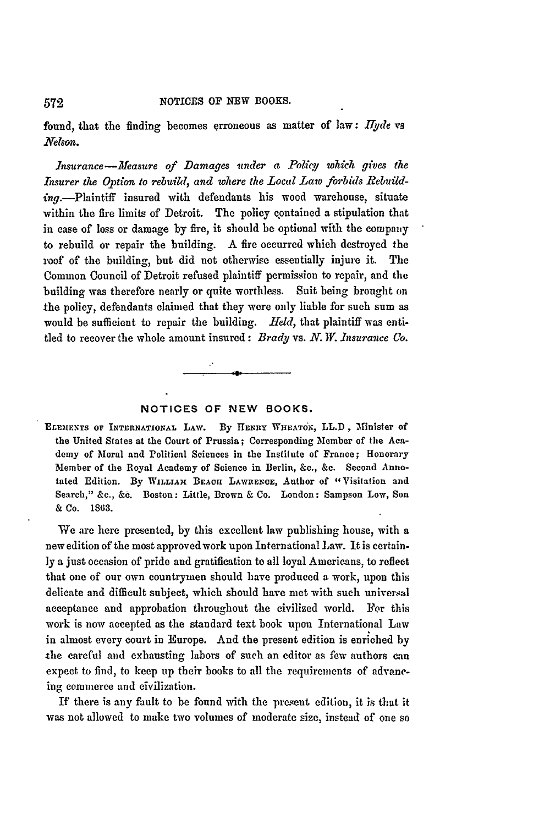found, that the finding becomes erroneous as matter of law: *Hyde* vs *Nelson.*

*Insurance-Measure of Damages under a Policy which gives the Insurer the Option to rebuild, and where the Local Law forbids Rebuild*ing.--Plaintiff insured with defendants his wood warehouse, situate within the fire limits of Detroit. The policy contained a stipulation that in case of loss or damage by fire, it should be optional with the company to rebuild or repair the building. A fire occurred which destroyed the roof of the building, but did not otherwise essentially injure it. The Common Council of Detroit refused plaintiff permission to repair, and the building was therefore nearly or quite worthless. Suit being brought on the policy, defendants claimed that they were only liable for such sum as would be sufficient to repair the building. *Held,* that plaintiff was entitled to recover the whole amount insured: *Brady* vs. *N.W. Insurance Co.* 

## **NOTICES OF NEW BOOKS.**

**ELEMENTS OF INTERNATIONAL LAW. By** IENRY **WHEATON,** LL.D, **Minister of** the United States at the Court of Prussia; Corresponding Member of **the Aca**demy of Moral and Political Sciences in the Institute of France; Honorary Member of the Royal Academy of Science **in** Berlin, **&c., &c.** Second Annotated Edition. **By WILLIAm BEACH LAWRENCE,** Author of "Visitation and Search," &c., **&c.** Boston: Little, Brown & Co. London: Sampson Low, Son **& Co. 1863.**

We are here presented, **by** this excellent law publishing house, with a new edition of the most approved work upon International Law. It is certainly a just occasion of pride and gratification to all loyal Americans, to reflect that one of our own countrymen should have produced a work, upon this delicate and difficult subject, which should have met with such universal acceptance and approbation throughout the civilized world. For this work is now accepted as the standard text book upon International Law in almost every court in Europe. And the present edition is enriched by the careful and exhausting labors of such an editor as few authors can expect to find, to keep up their books to all the requirements of advancing commerce and civilization.

If there is any fault to be found with the present edition, it is that it was not allowed to make two volumes of moderate size, instead of one so

572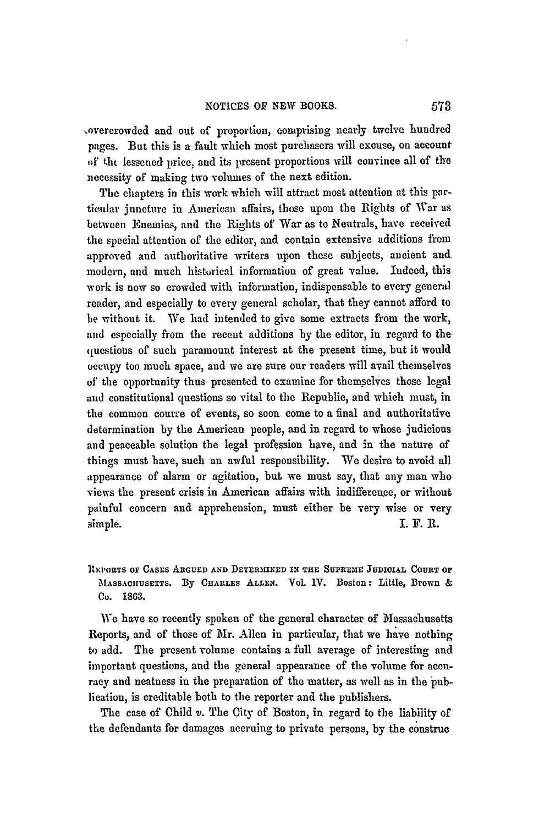,overcrowded and out of proportion, comprising nearly twelve hundred pages. But this is a fault which most purchasers will excuse, on account of the lessened price, and its present proportions will convince all of the necessity of making two volumes of the next edition.

The chapters in this work which will attract most attention at this particular juncture in American affairs, those upon the Rights of War as between Enemies, and the Rights of **War** as to Neutrals, have received the special attention of the editor, and contain extensive additions from approved and authoritative writers upon these subjects, ancient and modern, and much historical information of great value. Indeed, this work is now so crowded with information, indispensable to every general reader, and especially to every general scholar, that they cannot afford to be without it. We had intended to give some extracts from the work, and especially from the recent additions by the editor, in regard to the questiobs of such paramount interest at the present time, but it would occupy too much space, and we are sure our readers will avail themselves of the opportunity thus, presented to examine for themselves those legal and constitutional questions so vital to the Republic, and which must, in the common course of events, so soon come to a final and authoritative determination by the American people, and in regard to whose judicious and peaceable solution the legal profession have, and in the nature of things must have, such an awful responsibility. We desire to avoid all appearance of alarm or agitation, but we must say, that any man who views the present crisis in American affairs with indifference, or without painful concern and apprehension, must either be very wise or very  $\blacksquare$  **I. F.** R.

**REPORTS OF CASES ARGUED AND DETERMINED IN THE SUPREME JUDICIAL COURT OF M1ASSACHUSETTS. By CHArLES ALLEN.** Vol. IV. **Boston:** Little, **Brown & Co. 1863.**

We have so recently spoken of the general character of Massachusetts Reports, and of those of Mr. Allen in particular, that we have nothing to add. The present volume contains a full average of interesting and important questions, and the general appearance of the volume for accuracy and neatness in the preparation of the matter, as well as in the **pub**lication, is creditable both to the reporter and the publishers.

The case of Child *v.* The City of Boston, in regard to the liability of the defendants for damages accruing to private persons, by the construe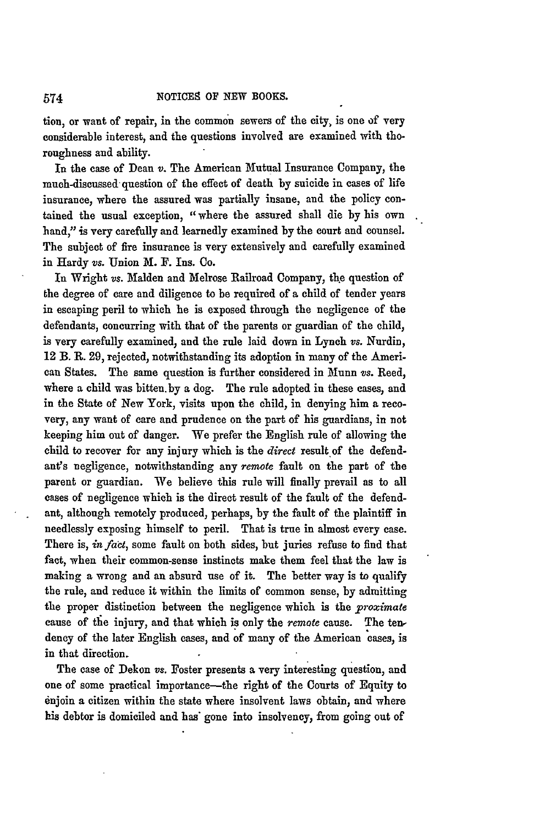tion, or want of repair, in the common sewers of the city, is one **of** very considerable interest, and the questions involved are examined with thoroughness and ability.

In the case of Dean *v.* The American Mutual Insurance Company, the much-discussed question of the effect of death **by** suicide in cases of life insurance, where the assured was partially insane, and the policy contained the usual exception, "where the assured shall die **by** his own hand," is very carefully and learnedly examined **by** the court and counsel. The subject of fire insurance is very extensively and carefully examined in Hardy *vs.* Union M. F. Ins. Co.

In Wright *vs.* Malden and Melrose Railroad Company, the question of the degree of care and diligence to be required of a child of tender years in escaping peril to which he is exposed through the negligence of the defendants, concurring with that of the parents or guardian of the child, is very carefully examined, and the rule laid down in Lynch *vs.* Nurdin, 12 B. R. **29,** rejected, notwithstanding its adoption in many of the American States. The same question is further considered in Munn *vs.* Reed, where a child was bitten.by a dog. The rule adopted in these cases, and in the State of New York, visits upon the child, in denying him a recovery, any want of care and prudence on the part of his guardians, in not keeping him out of danger. We prefer the English rule of allowing the child to recover for any injury which is the *direct* result of the defendant's negligence, notwithstanding any *remote* fault on the part of the parent or guardian. We believe this rule will finally prevail as to all cases of negligence which is the direct result of the fault of the defend**ant,** although remotely produced, perhaps, **by** the fault of the plaintiff in needlessly exposing himself to peril. That is true in almost every case. There is, *in fact,* some fault on both sides, but juries refuse to find that fact, when their common-sense instincts make them feel that the law is making a wrong and an absurd use of it. The better way is to qualify the rule, and reduce it within the limits of common sense, **by** admitting the proper distinction between the negligence which is the *proximate* cause of the injury, and that which is only the *remote* cause. The tendency of the later English cases, and of many of the American cases, is in that direction.

The case of Dekon vs. Foster presents a very interesting question, and one of some practical importance-the right of the Courts of Equity to enjoin a citizen within the state where insolvent laws obtain, and where his debtor is domiciled and has' gone into insolvency, from going out of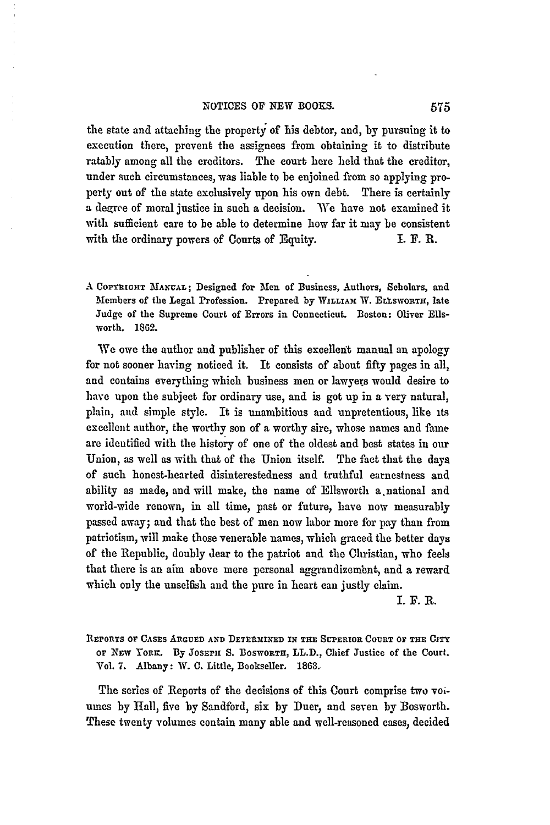the state and attaching the property of his debtor, and, by pursuing it to execution there, prevent the assignees from obtaining it to distribute ratably among all the creditors. The court here held that the creditor, under such circumstances, was liable to be enjoined from so applying property out of the state exclusively upon his own debt. There is certainly a degree of moral justice in such a decision. We have not examined it with sufficient care to be able to determine how far it may be consistent with the ordinary powers of Courts of Equity. **I. F. R.** 

A COPYRIGHT **MANUAL;** Designed for Men of Business, Authors, Scholars, and Members of the Legal Profession. Prepared **by** WILLIAM W. ELLSWORTH, late Judge of the Supreme Court of Errors in Connecticut. Boston: Oliver Ellsworth. 1862.

We owe the author and publisher of this excellent manual an apology for not sooner having noticed it. It consists of about fifty pages in all, and contains everything which business men or lawyers would desire to have upon the subject for ordinary use, and is got up in a very natural, plain, and simple style. It is unambitious and unpretentious, like its excellent author, the worthy son of a worthy sire, whose names and fame are identified with the history of one of the oldest and best states in our Union, as well as with that of the Union itself. The fact that the days of such honest-hearted disinterestedness and truthful earnestness and ability as made, and will make, the name of Ellsworth a.national and world-wide renown, in all time, past or future, have now measurably passed away; and that the best of men now labor more for pay than from patriotism, will make those venerable names, which graced the better days of the Republic, doubly dear to the patriot and the Christian, who feels that there is an aim above mere personal aggrandizement, and a reward which only the unselfish and the pure in heart can justly claim.

I. F. R.

REPORTS OF CASES ARGUED AND DETERMINED IN THE SUPERIOR COURT OF THE CITY or **EW YoR.** B, **y** JOSEPH **S.** ]OSWORTH, LL.D., Chief Justice of the Court. Vol. **7.** Albany: W. **C.** Little, Bookseller. **1863.**

The series of Reports of the decisions of this Court comprise two voiumes by Hall, five by Sandford, six by Duer, and seven by Bosworth. These twenty volumes contain many able and well-reasoned cases, decided